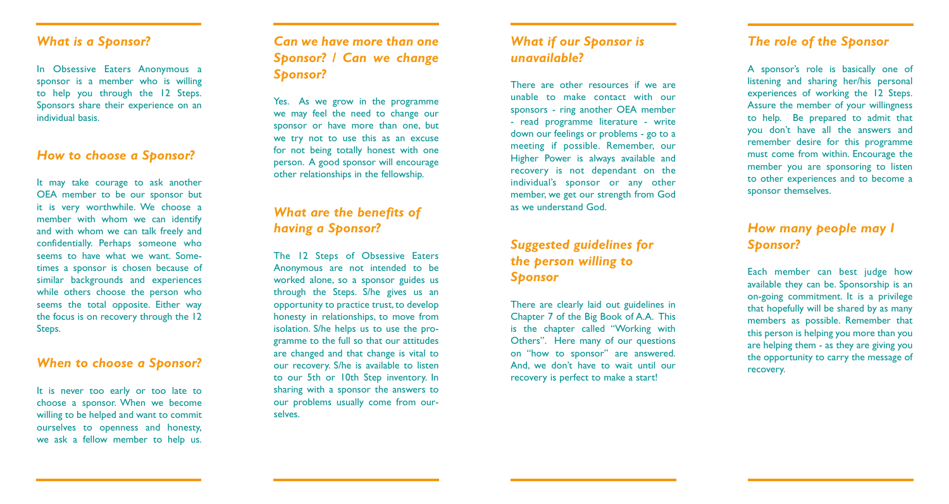### *What is a Sponsor?*

In Obsessive Eaters Anonymous a sponsor is a member who is willing to help you through the 12 Steps. Sponsors share their experience on an individual basis.

### *How to choose a Sponsor?*

It may take courage to ask another OEA member to be our sponsor but it is very worthwhile. We choose a member with whom we can identify and with whom we can talk freely and confidentially. Perhaps someone who seems to have what we want. Sometimes a sponsor is chosen because of similar backgrounds and experiences while others choose the person who seems the total opposite. Either way the focus is on recovery through the 12 Steps.

### *When to choose a Sponsor?*

It is never too early or too late to choose a sponsor. When we become willing to be helped and want to commit ourselves to openness and honesty, we ask a fellow member to help us.

## *Can we have more than one Sponsor? / Can we change Sponsor?*

Yes. As we grow in the programme we may feel the need to change our sponsor or have more than one, but we try not to use this as an excuse for not being totally honest with one person. A good sponsor will encourage other relationships in the fellowship.

## *What are the benefits of having a Sponsor?*

The 12 Steps of Obsessive Eaters Anonymous are not intended to be worked alone, so a sponsor guides us through the Steps. S/he gives us an opportunity to practice trust, to develop honesty in relationships, to move from isolation. S/he helps us to use the programme to the full so that our attitudes are changed and that change is vital to our recovery. S/he is available to listen to our 5th or 10th Step inventory. In sharing with a sponsor the answers to our problems usually come from ourselves.

## *What if our Sponsor is unavailable?*

There are other resources if we are unable to make contact with our sponsors - ring another OEA member - read programme literature - write down our feelings or problems - go to a meeting if possible. Remember, our Higher Power is always available and recovery is not dependant on the individual's sponsor or any other member, we get our strength from God as we understand God.

# *Suggested guidelines for the person willing to Sponsor*

There are clearly laid out guidelines in Chapter 7 of the Big Book of A.A. This is the chapter called "Working with Others ". Here many of our questions on "how to sponsor " are answered. And, we don 't have to wait until our recovery is perfect to make a start!

## *The role of the Sponsor*

A sponsor 's role is basically one of listening and sharing her/his personal experiences of working the 12 Steps. Assure the member of your willingness to help. Be prepared to admit that you don 't have all the answers and remember desire for this programme must come from within. Encourage the member you are sponsoring to listen to other experiences and to become a sponsor themselves.

# *How many people may I Sponsor?*

Each member can best judge how available they can be. Sponsorship is an on-going commitment. It is a privilege that hopefully will be shared by as many members as possible. Remember that this person is helping you more than you are helping them - as they are giving you the opportunity to carry the message of recovery.